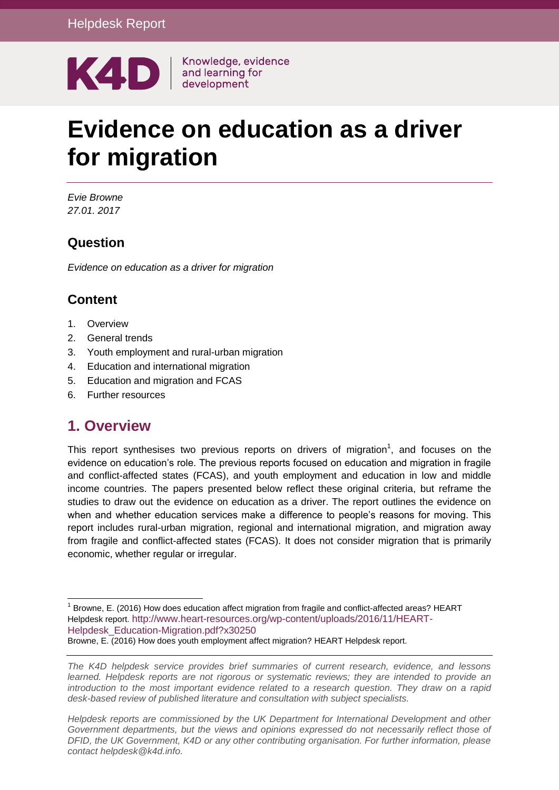

Knowledge, evidence

# **Evidence on education as a driver for migration**

*Evie Browne 27.01. 2017*

# **Question**

*Evidence on education as a driver for migration*

# **Content**

- 1. [Overview](#page-0-0)
- 2. [General trends](#page-5-0)
- 3. [Youth employment and rural-urban migration](#page-8-0)
- 4. [Education and international migration](#page-11-0)
- 5. [Education and migration and FCAS](#page-14-0)
- <span id="page-0-0"></span>6. [Further resources](#page-21-0)

# **1. Overview**

This report synthesises two previous reports on drivers of migration<sup>1</sup>, and focuses on the evidence on education's role. The previous reports focused on education and migration in fragile and conflict-affected states (FCAS), and youth employment and education in low and middle income countries. The papers presented below reflect these original criteria, but reframe the studies to draw out the evidence on education as a driver. The report outlines the evidence on when and whether education services make a difference to people's reasons for moving. This report includes rural-urban migration, regional and international migration, and migration away from fragile and conflict-affected states (FCAS). It does not consider migration that is primarily economic, whether regular or irregular.

*Helpdesk reports are commissioned by the UK Department for International Development and other*  Government departments, but the views and opinions expressed do not necessarily reflect those of *DFID, the UK Government, K4D or any other contributing organisation. For further information, please contact helpdesk@k4d.info.*

<sup>1</sup> <sup>1</sup> Browne, E. (2016) How does education affect migration from fragile and conflict-affected areas? HEART Helpdesk report. [http://www.heart-resources.org/wp-content/uploads/2016/11/HEART-](http://www.heart-resources.org/wp-content/uploads/2016/11/HEART-Helpdesk_Education-Migration.pdf?x30250)[Helpdesk\\_Education-Migration.pdf?x30250](http://www.heart-resources.org/wp-content/uploads/2016/11/HEART-Helpdesk_Education-Migration.pdf?x30250) Browne, E. (2016) How does youth employment affect migration? HEART Helpdesk report.

*The K4D helpdesk service provides brief summaries of current research, evidence, and lessons learned. Helpdesk reports are not rigorous or systematic reviews; they are intended to provide an introduction to the most important evidence related to a research question. They draw on a rapid desk-based review of published literature and consultation with subject specialists.*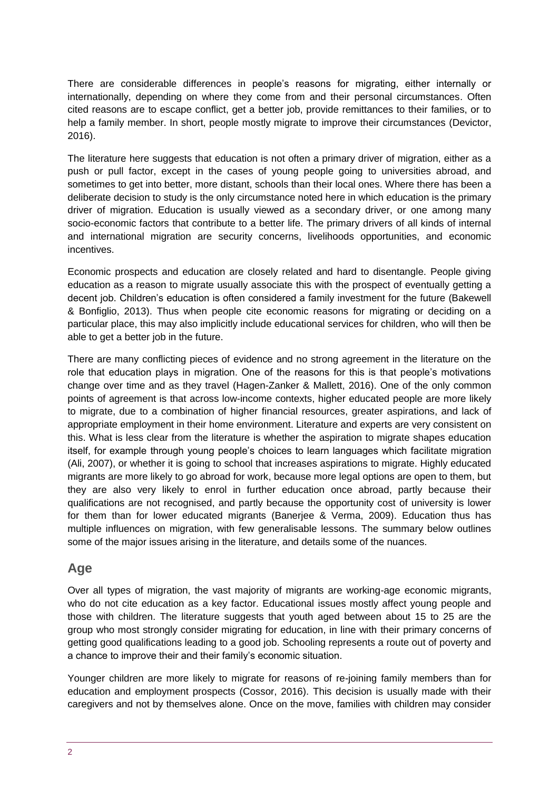There are considerable differences in people's reasons for migrating, either internally or internationally, depending on where they come from and their personal circumstances. Often cited reasons are to escape conflict, get a better job, provide remittances to their families, or to help a family member. In short, people mostly migrate to improve their circumstances (Devictor, 2016).

The literature here suggests that education is not often a primary driver of migration, either as a push or pull factor, except in the cases of young people going to universities abroad, and sometimes to get into better, more distant, schools than their local ones. Where there has been a deliberate decision to study is the only circumstance noted here in which education is the primary driver of migration. Education is usually viewed as a secondary driver, or one among many socio-economic factors that contribute to a better life. The primary drivers of all kinds of internal and international migration are security concerns, livelihoods opportunities, and economic incentives.

Economic prospects and education are closely related and hard to disentangle. People giving education as a reason to migrate usually associate this with the prospect of eventually getting a decent job. Children's education is often considered a family investment for the future (Bakewell & Bonfiglio, 2013). Thus when people cite economic reasons for migrating or deciding on a particular place, this may also implicitly include educational services for children, who will then be able to get a better job in the future.

There are many conflicting pieces of evidence and no strong agreement in the literature on the role that education plays in migration. One of the reasons for this is that people's motivations change over time and as they travel (Hagen-Zanker & Mallett, 2016). One of the only common points of agreement is that across low-income contexts, higher educated people are more likely to migrate, due to a combination of higher financial resources, greater aspirations, and lack of appropriate employment in their home environment. Literature and experts are very consistent on this. What is less clear from the literature is whether the aspiration to migrate shapes education itself, for example through young people's choices to learn languages which facilitate migration (Ali, 2007), or whether it is going to school that increases aspirations to migrate. Highly educated migrants are more likely to go abroad for work, because more legal options are open to them, but they are also very likely to enrol in further education once abroad, partly because their qualifications are not recognised, and partly because the opportunity cost of university is lower for them than for lower educated migrants (Banerjee & Verma, 2009). Education thus has multiple influences on migration, with few generalisable lessons. The summary below outlines some of the major issues arising in the literature, and details some of the nuances.

### **Age**

Over all types of migration, the vast majority of migrants are working-age economic migrants, who do not cite education as a key factor. Educational issues mostly affect young people and those with children. The literature suggests that youth aged between about 15 to 25 are the group who most strongly consider migrating for education, in line with their primary concerns of getting good qualifications leading to a good job. Schooling represents a route out of poverty and a chance to improve their and their family's economic situation.

Younger children are more likely to migrate for reasons of re-joining family members than for education and employment prospects (Cossor, 2016). This decision is usually made with their caregivers and not by themselves alone. Once on the move, families with children may consider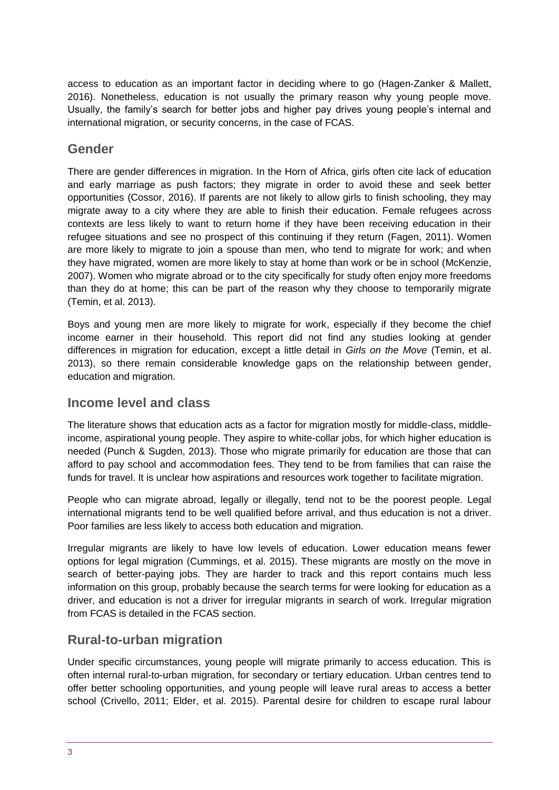access to education as an important factor in deciding where to go (Hagen-Zanker & Mallett, 2016). Nonetheless, education is not usually the primary reason why young people move. Usually, the family's search for better jobs and higher pay drives young people's internal and international migration, or security concerns, in the case of FCAS.

### **Gender**

There are gender differences in migration. In the Horn of Africa, girls often cite lack of education and early marriage as push factors; they migrate in order to avoid these and seek better opportunities (Cossor, 2016). If parents are not likely to allow girls to finish schooling, they may migrate away to a city where they are able to finish their education. Female refugees across contexts are less likely to want to return home if they have been receiving education in their refugee situations and see no prospect of this continuing if they return (Fagen, 2011). Women are more likely to migrate to join a spouse than men, who tend to migrate for work; and when they have migrated, women are more likely to stay at home than work or be in school (McKenzie, 2007). Women who migrate abroad or to the city specifically for study often enjoy more freedoms than they do at home; this can be part of the reason why they choose to temporarily migrate (Temin, et al. 2013).

Boys and young men are more likely to migrate for work, especially if they become the chief income earner in their household. This report did not find any studies looking at gender differences in migration for education, except a little detail in *Girls on the Move* (Temin, et al. 2013), so there remain considerable knowledge gaps on the relationship between gender, education and migration.

### **Income level and class**

The literature shows that education acts as a factor for migration mostly for middle-class, middleincome, aspirational young people. They aspire to white-collar jobs, for which higher education is needed (Punch & Sugden, 2013). Those who migrate primarily for education are those that can afford to pay school and accommodation fees. They tend to be from families that can raise the funds for travel. It is unclear how aspirations and resources work together to facilitate migration.

People who can migrate abroad, legally or illegally, tend not to be the poorest people. Legal international migrants tend to be well qualified before arrival, and thus education is not a driver. Poor families are less likely to access both education and migration.

Irregular migrants are likely to have low levels of education. Lower education means fewer options for legal migration (Cummings, et al. 2015). These migrants are mostly on the move in search of better-paying jobs. They are harder to track and this report contains much less information on this group, probably because the search terms for were looking for education as a driver, and education is not a driver for irregular migrants in search of work. Irregular migration from FCAS is detailed in the FCAS section.

### **Rural-to-urban migration**

Under specific circumstances, young people will migrate primarily to access education. This is often internal rural-to-urban migration, for secondary or tertiary education. Urban centres tend to offer better schooling opportunities, and young people will leave rural areas to access a better school (Crivello, 2011; Elder, et al. 2015). Parental desire for children to escape rural labour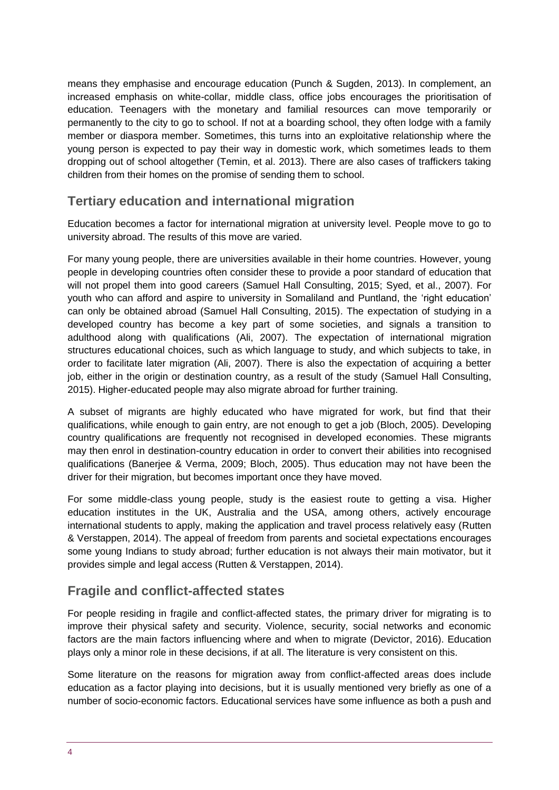means they emphasise and encourage education (Punch & Sugden, 2013). In complement, an increased emphasis on white-collar, middle class, office jobs encourages the prioritisation of education. Teenagers with the monetary and familial resources can move temporarily or permanently to the city to go to school. If not at a boarding school, they often lodge with a family member or diaspora member. Sometimes, this turns into an exploitative relationship where the young person is expected to pay their way in domestic work, which sometimes leads to them dropping out of school altogether (Temin, et al. 2013). There are also cases of traffickers taking children from their homes on the promise of sending them to school.

# **Tertiary education and international migration**

Education becomes a factor for international migration at university level. People move to go to university abroad. The results of this move are varied.

For many young people, there are universities available in their home countries. However, young people in developing countries often consider these to provide a poor standard of education that will not propel them into good careers (Samuel Hall Consulting, 2015; Syed, et al., 2007). For youth who can afford and aspire to university in Somaliland and Puntland, the 'right education' can only be obtained abroad (Samuel Hall Consulting, 2015). The expectation of studying in a developed country has become a key part of some societies, and signals a transition to adulthood along with qualifications (Ali, 2007). The expectation of international migration structures educational choices, such as which language to study, and which subjects to take, in order to facilitate later migration (Ali, 2007). There is also the expectation of acquiring a better job, either in the origin or destination country, as a result of the study (Samuel Hall Consulting, 2015). Higher-educated people may also migrate abroad for further training.

A subset of migrants are highly educated who have migrated for work, but find that their qualifications, while enough to gain entry, are not enough to get a job (Bloch, 2005). Developing country qualifications are frequently not recognised in developed economies. These migrants may then enrol in destination-country education in order to convert their abilities into recognised qualifications (Banerjee & Verma, 2009; Bloch, 2005). Thus education may not have been the driver for their migration, but becomes important once they have moved.

For some middle-class young people, study is the easiest route to getting a visa. Higher education institutes in the UK, Australia and the USA, among others, actively encourage international students to apply, making the application and travel process relatively easy (Rutten & Verstappen, 2014). The appeal of freedom from parents and societal expectations encourages some young Indians to study abroad; further education is not always their main motivator, but it provides simple and legal access (Rutten & Verstappen, 2014).

### **Fragile and conflict-affected states**

For people residing in fragile and conflict-affected states, the primary driver for migrating is to improve their physical safety and security. Violence, security, social networks and economic factors are the main factors influencing where and when to migrate (Devictor, 2016). Education plays only a minor role in these decisions, if at all. The literature is very consistent on this.

Some literature on the reasons for migration away from conflict-affected areas does include education as a factor playing into decisions, but it is usually mentioned very briefly as one of a number of socio-economic factors. Educational services have some influence as both a push and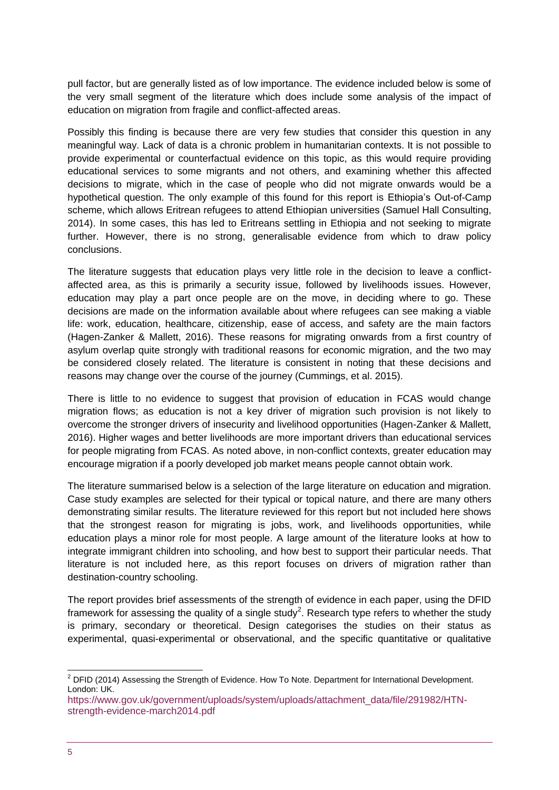pull factor, but are generally listed as of low importance. The evidence included below is some of the very small segment of the literature which does include some analysis of the impact of education on migration from fragile and conflict-affected areas.

Possibly this finding is because there are very few studies that consider this question in any meaningful way. Lack of data is a chronic problem in humanitarian contexts. It is not possible to provide experimental or counterfactual evidence on this topic, as this would require providing educational services to some migrants and not others, and examining whether this affected decisions to migrate, which in the case of people who did not migrate onwards would be a hypothetical question. The only example of this found for this report is Ethiopia's Out-of-Camp scheme, which allows Eritrean refugees to attend Ethiopian universities (Samuel Hall Consulting, 2014). In some cases, this has led to Eritreans settling in Ethiopia and not seeking to migrate further. However, there is no strong, generalisable evidence from which to draw policy conclusions.

The literature suggests that education plays very little role in the decision to leave a conflictaffected area, as this is primarily a security issue, followed by livelihoods issues. However, education may play a part once people are on the move, in deciding where to go. These decisions are made on the information available about where refugees can see making a viable life: work, education, healthcare, citizenship, ease of access, and safety are the main factors (Hagen-Zanker & Mallett, 2016). These reasons for migrating onwards from a first country of asylum overlap quite strongly with traditional reasons for economic migration, and the two may be considered closely related. The literature is consistent in noting that these decisions and reasons may change over the course of the journey (Cummings, et al. 2015).

There is little to no evidence to suggest that provision of education in FCAS would change migration flows; as education is not a key driver of migration such provision is not likely to overcome the stronger drivers of insecurity and livelihood opportunities (Hagen-Zanker & Mallett, 2016). Higher wages and better livelihoods are more important drivers than educational services for people migrating from FCAS. As noted above, in non-conflict contexts, greater education may encourage migration if a poorly developed job market means people cannot obtain work.

The literature summarised below is a selection of the large literature on education and migration. Case study examples are selected for their typical or topical nature, and there are many others demonstrating similar results. The literature reviewed for this report but not included here shows that the strongest reason for migrating is jobs, work, and livelihoods opportunities, while education plays a minor role for most people. A large amount of the literature looks at how to integrate immigrant children into schooling, and how best to support their particular needs. That literature is not included here, as this report focuses on drivers of migration rather than destination-country schooling.

The report provides brief assessments of the strength of evidence in each paper, using the DFID framework for assessing the quality of a single study<sup>2</sup>. Research type refers to whether the study is primary, secondary or theoretical. Design categorises the studies on their status as experimental, quasi-experimental or observational, and the specific quantitative or qualitative

<sup>1</sup>  $2$  DFID (2014) Assessing the Strength of Evidence. How To Note. Department for International Development. London: UK.

[https://www.gov.uk/government/uploads/system/uploads/attachment\\_data/file/291982/HTN](https://www.gov.uk/government/uploads/system/uploads/attachment_data/file/291982/HTN-strength-evidence-march2014.pdf)[strength-evidence-march2014.pdf](https://www.gov.uk/government/uploads/system/uploads/attachment_data/file/291982/HTN-strength-evidence-march2014.pdf)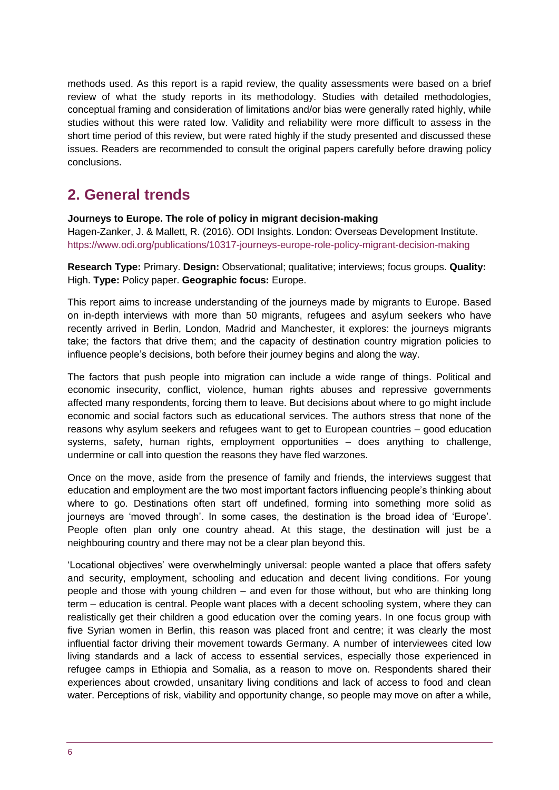methods used. As this report is a rapid review, the quality assessments were based on a brief review of what the study reports in its methodology. Studies with detailed methodologies, conceptual framing and consideration of limitations and/or bias were generally rated highly, while studies without this were rated low. Validity and reliability were more difficult to assess in the short time period of this review, but were rated highly if the study presented and discussed these issues. Readers are recommended to consult the original papers carefully before drawing policy conclusions.

# <span id="page-5-0"></span>**2. General trends**

**Journeys to Europe. The role of policy in migrant decision-making** 

Hagen-Zanker, J. & Mallett, R. (2016). ODI Insights. London: Overseas Development Institute. <https://www.odi.org/publications/10317-journeys-europe-role-policy-migrant-decision-making>

**Research Type:** Primary. **Design:** Observational; qualitative; interviews; focus groups. **Quality:**  High. **Type:** Policy paper. **Geographic focus:** Europe.

This report aims to increase understanding of the journeys made by migrants to Europe. Based on in-depth interviews with more than 50 migrants, refugees and asylum seekers who have recently arrived in Berlin, London, Madrid and Manchester, it explores: the journeys migrants take; the factors that drive them; and the capacity of destination country migration policies to influence people's decisions, both before their journey begins and along the way.

The factors that push people into migration can include a wide range of things. Political and economic insecurity, conflict, violence, human rights abuses and repressive governments affected many respondents, forcing them to leave. But decisions about where to go might include economic and social factors such as educational services. The authors stress that none of the reasons why asylum seekers and refugees want to get to European countries – good education systems, safety, human rights, employment opportunities – does anything to challenge, undermine or call into question the reasons they have fled warzones.

Once on the move, aside from the presence of family and friends, the interviews suggest that education and employment are the two most important factors influencing people's thinking about where to go. Destinations often start off undefined, forming into something more solid as journeys are 'moved through'. In some cases, the destination is the broad idea of 'Europe'. People often plan only one country ahead. At this stage, the destination will just be a neighbouring country and there may not be a clear plan beyond this.

'Locational objectives' were overwhelmingly universal: people wanted a place that offers safety and security, employment, schooling and education and decent living conditions. For young people and those with young children – and even for those without, but who are thinking long term – education is central. People want places with a decent schooling system, where they can realistically get their children a good education over the coming years. In one focus group with five Syrian women in Berlin, this reason was placed front and centre; it was clearly the most influential factor driving their movement towards Germany. A number of interviewees cited low living standards and a lack of access to essential services, especially those experienced in refugee camps in Ethiopia and Somalia, as a reason to move on. Respondents shared their experiences about crowded, unsanitary living conditions and lack of access to food and clean water. Perceptions of risk, viability and opportunity change, so people may move on after a while,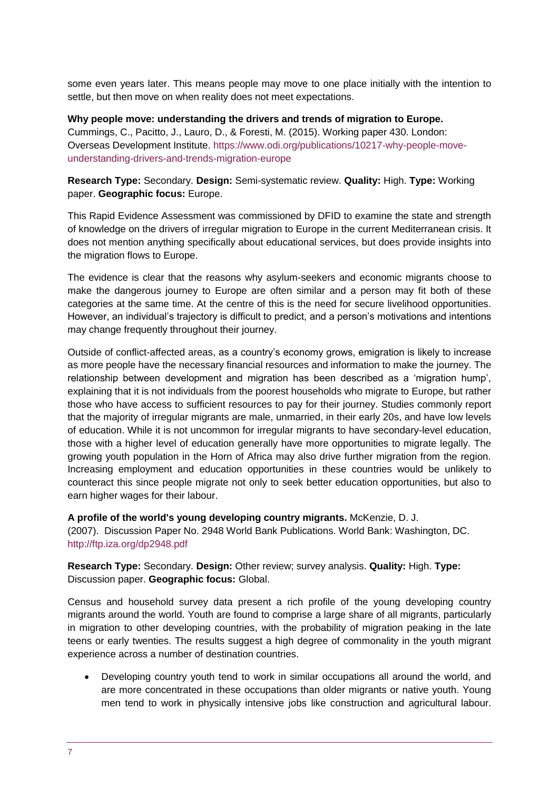some even years later. This means people may move to one place initially with the intention to settle, but then move on when reality does not meet expectations.

**Why people move: understanding the drivers and trends of migration to Europe.**  Cummings, C., Pacitto, J., Lauro, D., & Foresti, M. (2015). Working paper 430. London: Overseas Development Institute. [https://www.odi.org/publications/10217-why-people-move](https://www.odi.org/publications/10217-why-people-move-understanding-drivers-and-trends-migration-europe)[understanding-drivers-and-trends-migration-europe](https://www.odi.org/publications/10217-why-people-move-understanding-drivers-and-trends-migration-europe)

#### **Research Type:** Secondary. **Design:** Semi-systematic review. **Quality:** High. **Type:** Working paper. **Geographic focus:** Europe.

This Rapid Evidence Assessment was commissioned by DFID to examine the state and strength of knowledge on the drivers of irregular migration to Europe in the current Mediterranean crisis. It does not mention anything specifically about educational services, but does provide insights into the migration flows to Europe.

The evidence is clear that the reasons why asylum-seekers and economic migrants choose to make the dangerous journey to Europe are often similar and a person may fit both of these categories at the same time. At the centre of this is the need for secure livelihood opportunities. However, an individual's trajectory is difficult to predict, and a person's motivations and intentions may change frequently throughout their journey.

Outside of conflict-affected areas, as a country's economy grows, emigration is likely to increase as more people have the necessary financial resources and information to make the journey. The relationship between development and migration has been described as a 'migration hump', explaining that it is not individuals from the poorest households who migrate to Europe, but rather those who have access to sufficient resources to pay for their journey. Studies commonly report that the majority of irregular migrants are male, unmarried, in their early 20s, and have low levels of education. While it is not uncommon for irregular migrants to have secondary-level education, those with a higher level of education generally have more opportunities to migrate legally. The growing youth population in the Horn of Africa may also drive further migration from the region. Increasing employment and education opportunities in these countries would be unlikely to counteract this since people migrate not only to seek better education opportunities, but also to earn higher wages for their labour.

**A profile of the world's young developing country migrants.** McKenzie, D. J. (2007). Discussion Paper No. 2948 World Bank Publications. World Bank: Washington, DC. <http://ftp.iza.org/dp2948.pdf>

**Research Type:** Secondary. **Design:** Other review; survey analysis. **Quality:** High. **Type:**  Discussion paper. **Geographic focus:** Global.

Census and household survey data present a rich profile of the young developing country migrants around the world. Youth are found to comprise a large share of all migrants, particularly in migration to other developing countries, with the probability of migration peaking in the late teens or early twenties. The results suggest a high degree of commonality in the youth migrant experience across a number of destination countries.

 Developing country youth tend to work in similar occupations all around the world, and are more concentrated in these occupations than older migrants or native youth. Young men tend to work in physically intensive jobs like construction and agricultural labour.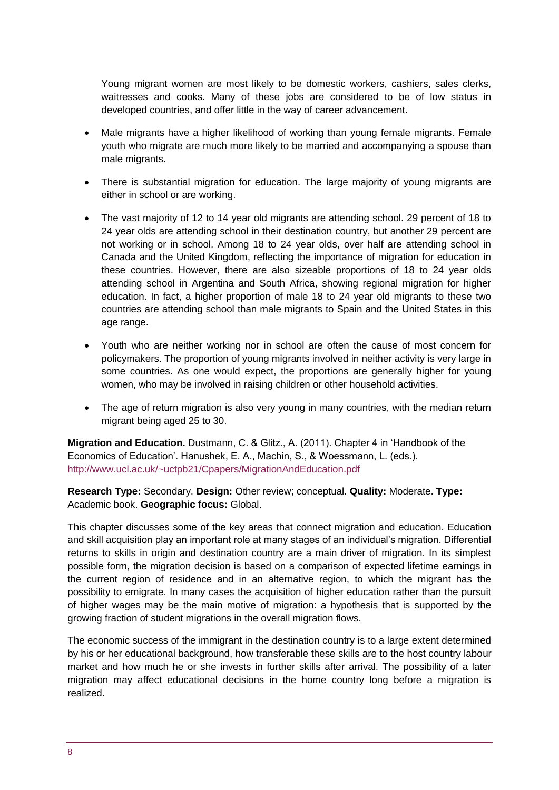Young migrant women are most likely to be domestic workers, cashiers, sales clerks, waitresses and cooks. Many of these jobs are considered to be of low status in developed countries, and offer little in the way of career advancement.

- Male migrants have a higher likelihood of working than young female migrants. Female youth who migrate are much more likely to be married and accompanying a spouse than male migrants.
- There is substantial migration for education. The large majority of young migrants are either in school or are working.
- The vast majority of 12 to 14 year old migrants are attending school. 29 percent of 18 to 24 year olds are attending school in their destination country, but another 29 percent are not working or in school. Among 18 to 24 year olds, over half are attending school in Canada and the United Kingdom, reflecting the importance of migration for education in these countries. However, there are also sizeable proportions of 18 to 24 year olds attending school in Argentina and South Africa, showing regional migration for higher education. In fact, a higher proportion of male 18 to 24 year old migrants to these two countries are attending school than male migrants to Spain and the United States in this age range.
- Youth who are neither working nor in school are often the cause of most concern for policymakers. The proportion of young migrants involved in neither activity is very large in some countries. As one would expect, the proportions are generally higher for young women, who may be involved in raising children or other household activities.
- The age of return migration is also very young in many countries, with the median return migrant being aged 25 to 30.

**Migration and Education.** Dustmann, C. & Glitz., A. (2011). Chapter 4 in 'Handbook of the Economics of Education'. Hanushek, E. A., Machin, S., & Woessmann, L. (eds.). <http://www.ucl.ac.uk/~uctpb21/Cpapers/MigrationAndEducation.pdf>

#### **Research Type:** Secondary. **Design:** Other review; conceptual. **Quality:** Moderate. **Type:**  Academic book. **Geographic focus:** Global.

This chapter discusses some of the key areas that connect migration and education. Education and skill acquisition play an important role at many stages of an individual's migration. Differential returns to skills in origin and destination country are a main driver of migration. In its simplest possible form, the migration decision is based on a comparison of expected lifetime earnings in the current region of residence and in an alternative region, to which the migrant has the possibility to emigrate. In many cases the acquisition of higher education rather than the pursuit of higher wages may be the main motive of migration: a hypothesis that is supported by the growing fraction of student migrations in the overall migration flows.

The economic success of the immigrant in the destination country is to a large extent determined by his or her educational background, how transferable these skills are to the host country labour market and how much he or she invests in further skills after arrival. The possibility of a later migration may affect educational decisions in the home country long before a migration is realized.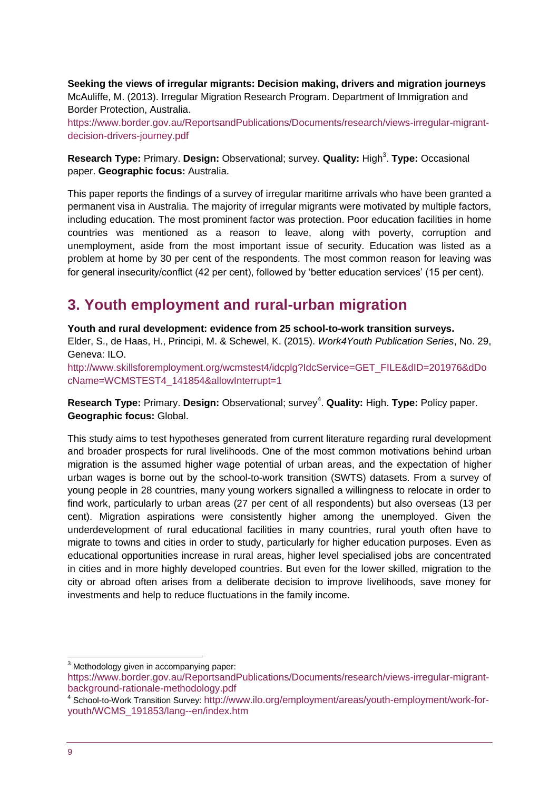**Seeking the views of irregular migrants: Decision making, drivers and migration journeys** McAuliffe, M. (2013). Irregular Migration Research Program. Department of Immigration and Border Protection, Australia.

[https://www.border.gov.au/ReportsandPublications/Documents/research/views-irregular-migrant](https://www.border.gov.au/ReportsandPublications/Documents/research/views-irregular-migrant-decision-drivers-journey.pdf)[decision-drivers-journey.pdf](https://www.border.gov.au/ReportsandPublications/Documents/research/views-irregular-migrant-decision-drivers-journey.pdf)

Research Type: Primary. Design: Observational; survey. Quality: High<sup>3</sup>. Type: Occasional paper. **Geographic focus:** Australia.

This paper reports the findings of a survey of irregular maritime arrivals who have been granted a permanent visa in Australia. The majority of irregular migrants were motivated by multiple factors, including education. The most prominent factor was protection. Poor education facilities in home countries was mentioned as a reason to leave, along with poverty, corruption and unemployment, aside from the most important issue of security. Education was listed as a problem at home by 30 per cent of the respondents. The most common reason for leaving was for general insecurity/conflict (42 per cent), followed by 'better education services' (15 per cent).

# <span id="page-8-0"></span>**3. Youth employment and rural-urban migration**

**Youth and rural development: evidence from 25 school-to-work transition surveys.**  Elder, S., de Haas, H., Principi, M. & Schewel, K. (2015). *Work4Youth Publication Series*, No. 29, Geneva: ILO.

[http://www.skillsforemployment.org/wcmstest4/idcplg?IdcService=GET\\_FILE&dID=201976&dDo](http://www.skillsforemployment.org/wcmstest4/idcplg?IdcService=GET_FILE&dID=201976&dDocName=WCMSTEST4_141854&allowInterrupt=1) [cName=WCMSTEST4\\_141854&allowInterrupt=1](http://www.skillsforemployment.org/wcmstest4/idcplg?IdcService=GET_FILE&dID=201976&dDocName=WCMSTEST4_141854&allowInterrupt=1)

Research Type: Primary. Design: Observational; survey<sup>4</sup>. Quality: High. Type: Policy paper. **Geographic focus:** Global.

This study aims to test hypotheses generated from current literature regarding rural development and broader prospects for rural livelihoods. One of the most common motivations behind urban migration is the assumed higher wage potential of urban areas, and the expectation of higher urban wages is borne out by the school-to-work transition (SWTS) datasets. From a survey of young people in 28 countries, many young workers signalled a willingness to relocate in order to find work, particularly to urban areas (27 per cent of all respondents) but also overseas (13 per cent). Migration aspirations were consistently higher among the unemployed. Given the underdevelopment of rural educational facilities in many countries, rural youth often have to migrate to towns and cities in order to study, particularly for higher education purposes. Even as educational opportunities increase in rural areas, higher level specialised jobs are concentrated in cities and in more highly developed countries. But even for the lower skilled, migration to the city or abroad often arises from a deliberate decision to improve livelihoods, save money for investments and help to reduce fluctuations in the family income.

 $3$  Methodology given in accompanying paper: [https://www.border.gov.au/ReportsandPublications/Documents/research/views-irregular-migrant](https://www.border.gov.au/ReportsandPublications/Documents/research/views-irregular-migrant-background-rationale-methodology.pdf)[background-rationale-methodology.pdf](https://www.border.gov.au/ReportsandPublications/Documents/research/views-irregular-migrant-background-rationale-methodology.pdf)

1

<sup>4</sup> School-to-Work Transition Survey: [http://www.ilo.org/employment/areas/youth-employment/work-for](http://www.ilo.org/employment/areas/youth-employment/work-for-youth/WCMS_191853/lang--en/index.htm)[youth/WCMS\\_191853/lang--en/index.htm](http://www.ilo.org/employment/areas/youth-employment/work-for-youth/WCMS_191853/lang--en/index.htm)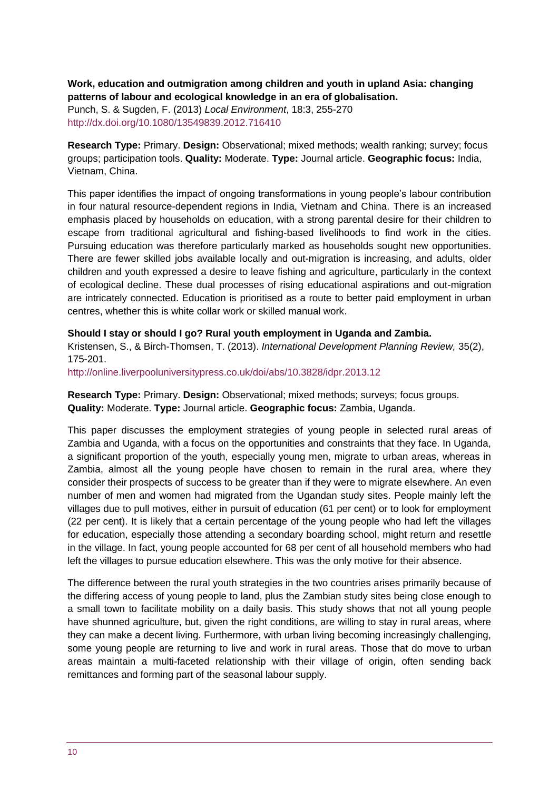#### **Work, education and outmigration among children and youth in upland Asia: changing patterns of labour and ecological knowledge in an era of globalisation.**

Punch, S. & Sugden, F. (2013) *Local Environment*, 18:3, 255-270 <http://dx.doi.org/10.1080/13549839.2012.716410>

**Research Type:** Primary. **Design:** Observational; mixed methods; wealth ranking; survey; focus groups; participation tools. **Quality:** Moderate. **Type:** Journal article. **Geographic focus:** India, Vietnam, China.

This paper identifies the impact of ongoing transformations in young people's labour contribution in four natural resource-dependent regions in India, Vietnam and China. There is an increased emphasis placed by households on education, with a strong parental desire for their children to escape from traditional agricultural and fishing-based livelihoods to find work in the cities. Pursuing education was therefore particularly marked as households sought new opportunities. There are fewer skilled jobs available locally and out-migration is increasing, and adults, older children and youth expressed a desire to leave fishing and agriculture, particularly in the context of ecological decline. These dual processes of rising educational aspirations and out-migration are intricately connected. Education is prioritised as a route to better paid employment in urban centres, whether this is white collar work or skilled manual work.

#### **Should I stay or should I go? Rural youth employment in Uganda and Zambia.**

Kristensen, S., & Birch-Thomsen, T. (2013). *International Development Planning Review,* 35(2), 175-201.

<http://online.liverpooluniversitypress.co.uk/doi/abs/10.3828/idpr.2013.12>

**Research Type:** Primary. **Design:** Observational; mixed methods; surveys; focus groups. **Quality:** Moderate. **Type:** Journal article. **Geographic focus:** Zambia, Uganda.

This paper discusses the employment strategies of young people in selected rural areas of Zambia and Uganda, with a focus on the opportunities and constraints that they face. In Uganda, a significant proportion of the youth, especially young men, migrate to urban areas, whereas in Zambia, almost all the young people have chosen to remain in the rural area, where they consider their prospects of success to be greater than if they were to migrate elsewhere. An even number of men and women had migrated from the Ugandan study sites. People mainly left the villages due to pull motives, either in pursuit of education (61 per cent) or to look for employment (22 per cent). It is likely that a certain percentage of the young people who had left the villages for education, especially those attending a secondary boarding school, might return and resettle in the village. In fact, young people accounted for 68 per cent of all household members who had left the villages to pursue education elsewhere. This was the only motive for their absence.

The difference between the rural youth strategies in the two countries arises primarily because of the differing access of young people to land, plus the Zambian study sites being close enough to a small town to facilitate mobility on a daily basis. This study shows that not all young people have shunned agriculture, but, given the right conditions, are willing to stay in rural areas, where they can make a decent living. Furthermore, with urban living becoming increasingly challenging, some young people are returning to live and work in rural areas. Those that do move to urban areas maintain a multi-faceted relationship with their village of origin, often sending back remittances and forming part of the seasonal labour supply.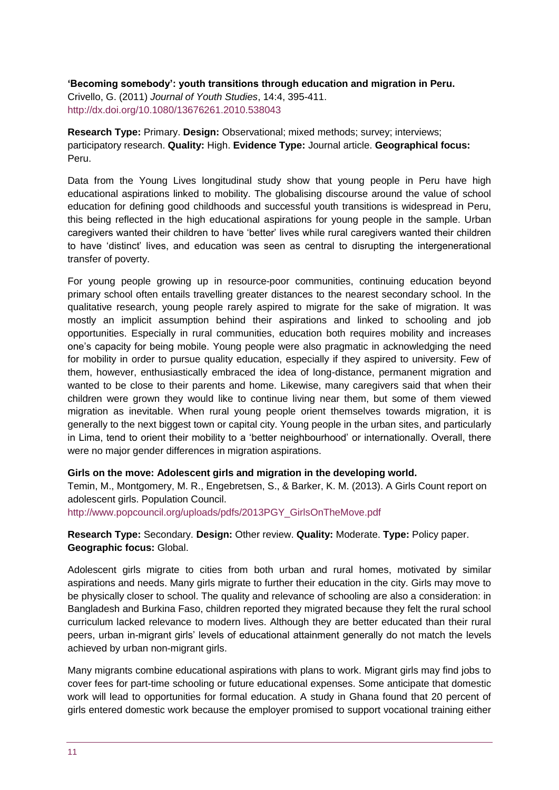**'Becoming somebody': youth transitions through education and migration in Peru.** Crivello, G. (2011) *Journal of Youth Studies*, 14:4, 395-411. <http://dx.doi.org/10.1080/13676261.2010.538043>

**Research Type:** Primary. **Design:** Observational; mixed methods; survey; interviews; participatory research. **Quality:** High. **Evidence Type:** Journal article. **Geographical focus:** Peru.

Data from the Young Lives longitudinal study show that young people in Peru have high educational aspirations linked to mobility. The globalising discourse around the value of school education for defining good childhoods and successful youth transitions is widespread in Peru, this being reflected in the high educational aspirations for young people in the sample. Urban caregivers wanted their children to have 'better' lives while rural caregivers wanted their children to have 'distinct' lives, and education was seen as central to disrupting the intergenerational transfer of poverty.

For young people growing up in resource-poor communities, continuing education beyond primary school often entails travelling greater distances to the nearest secondary school. In the qualitative research, young people rarely aspired to migrate for the sake of migration. It was mostly an implicit assumption behind their aspirations and linked to schooling and job opportunities. Especially in rural communities, education both requires mobility and increases one's capacity for being mobile. Young people were also pragmatic in acknowledging the need for mobility in order to pursue quality education, especially if they aspired to university. Few of them, however, enthusiastically embraced the idea of long-distance, permanent migration and wanted to be close to their parents and home. Likewise, many caregivers said that when their children were grown they would like to continue living near them, but some of them viewed migration as inevitable. When rural young people orient themselves towards migration, it is generally to the next biggest town or capital city. Young people in the urban sites, and particularly in Lima, tend to orient their mobility to a 'better neighbourhood' or internationally. Overall, there were no major gender differences in migration aspirations.

#### **Girls on the move: Adolescent girls and migration in the developing world.**

Temin, M., Montgomery, M. R., Engebretsen, S., & Barker, K. M. (2013). A Girls Count report on adolescent girls. Population Council.

[http://www.popcouncil.org/uploads/pdfs/2013PGY\\_GirlsOnTheMove.pdf](http://www.popcouncil.org/uploads/pdfs/2013PGY_GirlsOnTheMove.pdf)

**Research Type:** Secondary. **Design:** Other review. **Quality:** Moderate. **Type:** Policy paper. **Geographic focus:** Global.

Adolescent girls migrate to cities from both urban and rural homes, motivated by similar aspirations and needs. Many girls migrate to further their education in the city. Girls may move to be physically closer to school. The quality and relevance of schooling are also a consideration: in Bangladesh and Burkina Faso, children reported they migrated because they felt the rural school curriculum lacked relevance to modern lives. Although they are better educated than their rural peers, urban in-migrant girls' levels of educational attainment generally do not match the levels achieved by urban non-migrant girls.

Many migrants combine educational aspirations with plans to work. Migrant girls may find jobs to cover fees for part-time schooling or future educational expenses. Some anticipate that domestic work will lead to opportunities for formal education. A study in Ghana found that 20 percent of girls entered domestic work because the employer promised to support vocational training either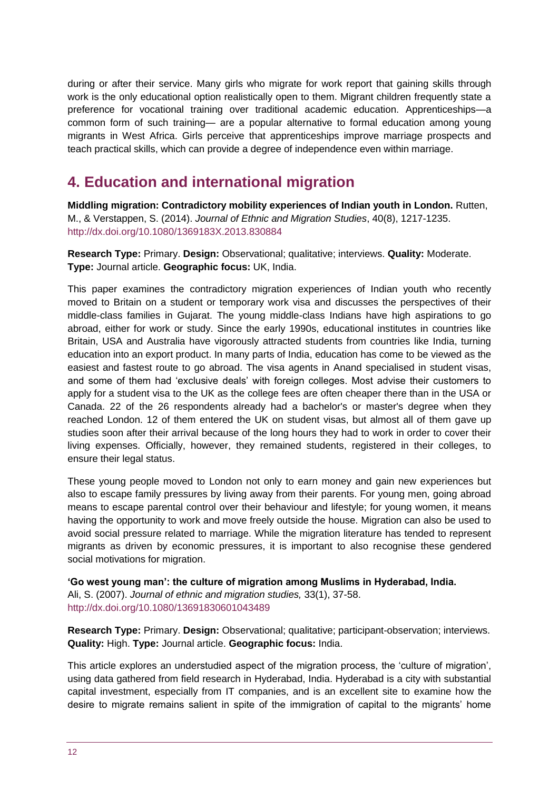during or after their service. Many girls who migrate for work report that gaining skills through work is the only educational option realistically open to them. Migrant children frequently state a preference for vocational training over traditional academic education. Apprenticeships—a common form of such training— are a popular alternative to formal education among young migrants in West Africa. Girls perceive that apprenticeships improve marriage prospects and teach practical skills, which can provide a degree of independence even within marriage.

# <span id="page-11-0"></span>**4. Education and international migration**

**Middling migration: Contradictory mobility experiences of Indian youth in London.** Rutten, M., & Verstappen, S. (2014). *Journal of Ethnic and Migration Studies*, 40(8), 1217-1235. <http://dx.doi.org/10.1080/1369183X.2013.830884>

**Research Type:** Primary. **Design:** Observational; qualitative; interviews. **Quality:** Moderate. **Type:** Journal article. **Geographic focus:** UK, India.

This paper examines the contradictory migration experiences of Indian youth who recently moved to Britain on a student or temporary work visa and discusses the perspectives of their middle-class families in Gujarat. The young middle-class Indians have high aspirations to go abroad, either for work or study. Since the early 1990s, educational institutes in countries like Britain, USA and Australia have vigorously attracted students from countries like India, turning education into an export product. In many parts of India, education has come to be viewed as the easiest and fastest route to go abroad. The visa agents in Anand specialised in student visas, and some of them had 'exclusive deals' with foreign colleges. Most advise their customers to apply for a student visa to the UK as the college fees are often cheaper there than in the USA or Canada. 22 of the 26 respondents already had a bachelor's or master's degree when they reached London. 12 of them entered the UK on student visas, but almost all of them gave up studies soon after their arrival because of the long hours they had to work in order to cover their living expenses. Officially, however, they remained students, registered in their colleges, to ensure their legal status.

These young people moved to London not only to earn money and gain new experiences but also to escape family pressures by living away from their parents. For young men, going abroad means to escape parental control over their behaviour and lifestyle; for young women, it means having the opportunity to work and move freely outside the house. Migration can also be used to avoid social pressure related to marriage. While the migration literature has tended to represent migrants as driven by economic pressures, it is important to also recognise these gendered social motivations for migration.

**'Go west young man': the culture of migration among Muslims in Hyderabad, India.**  Ali, S. (2007). *Journal of ethnic and migration studies,* 33(1), 37-58. <http://dx.doi.org/10.1080/13691830601043489>

**Research Type:** Primary. **Design:** Observational; qualitative; participant-observation; interviews. **Quality:** High. **Type:** Journal article. **Geographic focus:** India.

This article explores an understudied aspect of the migration process, the 'culture of migration', using data gathered from field research in Hyderabad, India. Hyderabad is a city with substantial capital investment, especially from IT companies, and is an excellent site to examine how the desire to migrate remains salient in spite of the immigration of capital to the migrants' home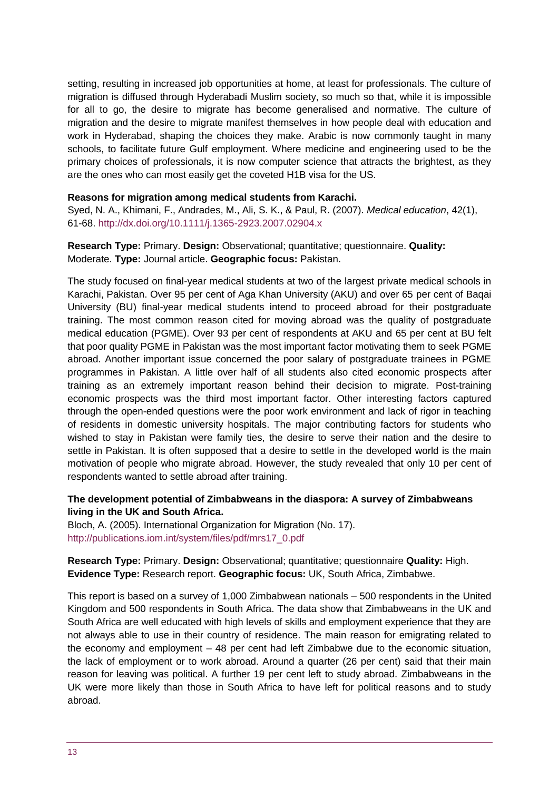setting, resulting in increased job opportunities at home, at least for professionals. The culture of migration is diffused through Hyderabadi Muslim society, so much so that, while it is impossible for all to go, the desire to migrate has become generalised and normative. The culture of migration and the desire to migrate manifest themselves in how people deal with education and work in Hyderabad, shaping the choices they make. Arabic is now commonly taught in many schools, to facilitate future Gulf employment. Where medicine and engineering used to be the primary choices of professionals, it is now computer science that attracts the brightest, as they are the ones who can most easily get the coveted H1B visa for the US.

#### **Reasons for migration among medical students from Karachi.**

Syed, N. A., Khimani, F., Andrades, M., Ali, S. K., & Paul, R. (2007). *Medical education*, 42(1), 61-68.<http://dx.doi.org/10.1111/j.1365-2923.2007.02904.x>

#### **Research Type:** Primary. **Design:** Observational; quantitative; questionnaire. **Quality:**  Moderate. **Type:** Journal article. **Geographic focus:** Pakistan.

The study focused on final-year medical students at two of the largest private medical schools in Karachi, Pakistan. Over 95 per cent of Aga Khan University (AKU) and over 65 per cent of Baqai University (BU) final-year medical students intend to proceed abroad for their postgraduate training. The most common reason cited for moving abroad was the quality of postgraduate medical education (PGME). Over 93 per cent of respondents at AKU and 65 per cent at BU felt that poor quality PGME in Pakistan was the most important factor motivating them to seek PGME abroad. Another important issue concerned the poor salary of postgraduate trainees in PGME programmes in Pakistan. A little over half of all students also cited economic prospects after training as an extremely important reason behind their decision to migrate. Post-training economic prospects was the third most important factor. Other interesting factors captured through the open-ended questions were the poor work environment and lack of rigor in teaching of residents in domestic university hospitals. The major contributing factors for students who wished to stay in Pakistan were family ties, the desire to serve their nation and the desire to settle in Pakistan. It is often supposed that a desire to settle in the developed world is the main motivation of people who migrate abroad. However, the study revealed that only 10 per cent of respondents wanted to settle abroad after training.

#### **The development potential of Zimbabweans in the diaspora: A survey of Zimbabweans living in the UK and South Africa.**

Bloch, A. (2005). International Organization for Migration (No. 17). [http://publications.iom.int/system/files/pdf/mrs17\\_0.pdf](http://publications.iom.int/system/files/pdf/mrs17_0.pdf)

**Research Type:** Primary. **Design:** Observational; quantitative; questionnaire **Quality:** High. **Evidence Type:** Research report. **Geographic focus:** UK, South Africa, Zimbabwe.

This report is based on a survey of 1,000 Zimbabwean nationals – 500 respondents in the United Kingdom and 500 respondents in South Africa. The data show that Zimbabweans in the UK and South Africa are well educated with high levels of skills and employment experience that they are not always able to use in their country of residence. The main reason for emigrating related to the economy and employment – 48 per cent had left Zimbabwe due to the economic situation, the lack of employment or to work abroad. Around a quarter (26 per cent) said that their main reason for leaving was political. A further 19 per cent left to study abroad. Zimbabweans in the UK were more likely than those in South Africa to have left for political reasons and to study abroad.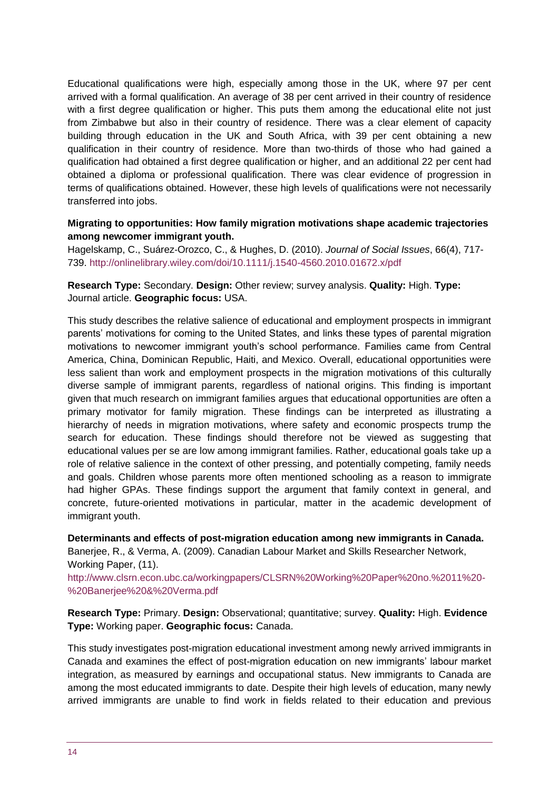Educational qualifications were high, especially among those in the UK, where 97 per cent arrived with a formal qualification. An average of 38 per cent arrived in their country of residence with a first degree qualification or higher. This puts them among the educational elite not just from Zimbabwe but also in their country of residence. There was a clear element of capacity building through education in the UK and South Africa, with 39 per cent obtaining a new qualification in their country of residence. More than two-thirds of those who had gained a qualification had obtained a first degree qualification or higher, and an additional 22 per cent had obtained a diploma or professional qualification. There was clear evidence of progression in terms of qualifications obtained. However, these high levels of qualifications were not necessarily transferred into jobs.

#### **Migrating to opportunities: How family migration motivations shape academic trajectories among newcomer immigrant youth.**

Hagelskamp, C., Suárez‐Orozco, C., & Hughes, D. (2010). *Journal of Social Issues*, 66(4), 717- 739.<http://onlinelibrary.wiley.com/doi/10.1111/j.1540-4560.2010.01672.x/pdf>

**Research Type:** Secondary. **Design:** Other review; survey analysis. **Quality:** High. **Type:**  Journal article. **Geographic focus:** USA.

This study describes the relative salience of educational and employment prospects in immigrant parents' motivations for coming to the United States, and links these types of parental migration motivations to newcomer immigrant youth's school performance. Families came from Central America, China, Dominican Republic, Haiti, and Mexico. Overall, educational opportunities were less salient than work and employment prospects in the migration motivations of this culturally diverse sample of immigrant parents, regardless of national origins. This finding is important given that much research on immigrant families argues that educational opportunities are often a primary motivator for family migration. These findings can be interpreted as illustrating a hierarchy of needs in migration motivations, where safety and economic prospects trump the search for education. These findings should therefore not be viewed as suggesting that educational values per se are low among immigrant families. Rather, educational goals take up a role of relative salience in the context of other pressing, and potentially competing, family needs and goals. Children whose parents more often mentioned schooling as a reason to immigrate had higher GPAs. These findings support the argument that family context in general, and concrete, future-oriented motivations in particular, matter in the academic development of immigrant youth.

**Determinants and effects of post-migration education among new immigrants in Canada.**  Banerjee, R., & Verma, A. (2009). Canadian Labour Market and Skills Researcher Network, Working Paper, (11).

[http://www.clsrn.econ.ubc.ca/workingpapers/CLSRN%20Working%20Paper%20no.%2011%20-](http://www.clsrn.econ.ubc.ca/workingpapers/CLSRN%20Working%20Paper%20no.%2011%20-%20Banerjee%20&%20Verma.pdf) [%20Banerjee%20&%20Verma.pdf](http://www.clsrn.econ.ubc.ca/workingpapers/CLSRN%20Working%20Paper%20no.%2011%20-%20Banerjee%20&%20Verma.pdf)

**Research Type:** Primary. **Design:** Observational; quantitative; survey. **Quality:** High. **Evidence Type:** Working paper. **Geographic focus:** Canada.

This study investigates post-migration educational investment among newly arrived immigrants in Canada and examines the effect of post-migration education on new immigrants' labour market integration, as measured by earnings and occupational status. New immigrants to Canada are among the most educated immigrants to date. Despite their high levels of education, many newly arrived immigrants are unable to find work in fields related to their education and previous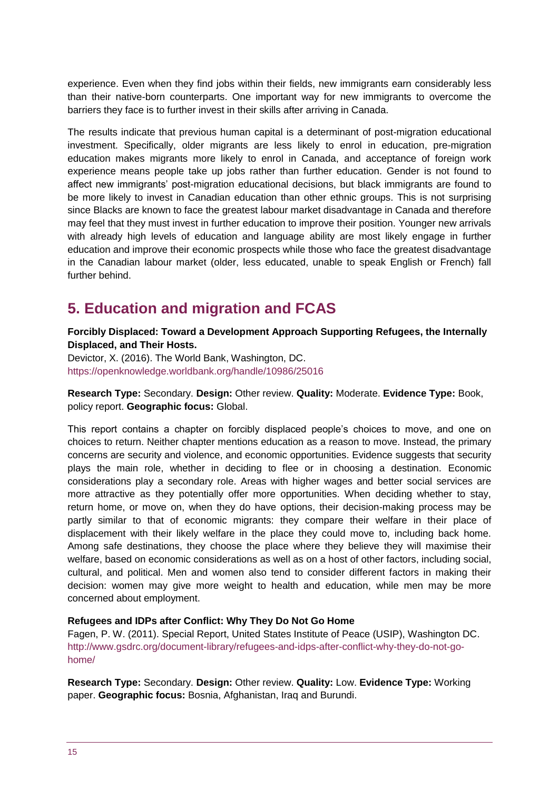experience. Even when they find jobs within their fields, new immigrants earn considerably less than their native-born counterparts. One important way for new immigrants to overcome the barriers they face is to further invest in their skills after arriving in Canada.

The results indicate that previous human capital is a determinant of post-migration educational investment. Specifically, older migrants are less likely to enrol in education, pre-migration education makes migrants more likely to enrol in Canada, and acceptance of foreign work experience means people take up jobs rather than further education. Gender is not found to affect new immigrants' post-migration educational decisions, but black immigrants are found to be more likely to invest in Canadian education than other ethnic groups. This is not surprising since Blacks are known to face the greatest labour market disadvantage in Canada and therefore may feel that they must invest in further education to improve their position. Younger new arrivals with already high levels of education and language ability are most likely engage in further education and improve their economic prospects while those who face the greatest disadvantage in the Canadian labour market (older, less educated, unable to speak English or French) fall further behind.

# <span id="page-14-0"></span>**5. Education and migration and FCAS**

**Forcibly Displaced: Toward a Development Approach Supporting Refugees, the Internally Displaced, and Their Hosts.** 

Devictor, X. (2016). The World Bank, Washington, DC. <https://openknowledge.worldbank.org/handle/10986/25016>

**Research Type:** Secondary. **Design:** Other review. **Quality:** Moderate. **Evidence Type:** Book, policy report. **Geographic focus:** Global.

This report contains a chapter on forcibly displaced people's choices to move, and one on choices to return. Neither chapter mentions education as a reason to move. Instead, the primary concerns are security and violence, and economic opportunities. Evidence suggests that security plays the main role, whether in deciding to flee or in choosing a destination. Economic considerations play a secondary role. Areas with higher wages and better social services are more attractive as they potentially offer more opportunities. When deciding whether to stay, return home, or move on, when they do have options, their decision-making process may be partly similar to that of economic migrants: they compare their welfare in their place of displacement with their likely welfare in the place they could move to, including back home. Among safe destinations, they choose the place where they believe they will maximise their welfare, based on economic considerations as well as on a host of other factors, including social, cultural, and political. Men and women also tend to consider different factors in making their decision: women may give more weight to health and education, while men may be more concerned about employment.

#### **Refugees and IDPs after Conflict: Why They Do Not Go Home**

Fagen, P. W. (2011). Special Report, United States Institute of Peace (USIP), Washington DC. [http://www.gsdrc.org/document-library/refugees-and-idps-after-conflict-why-they-do-not-go](http://www.gsdrc.org/document-library/refugees-and-idps-after-conflict-why-they-do-not-go-home/)[home/](http://www.gsdrc.org/document-library/refugees-and-idps-after-conflict-why-they-do-not-go-home/)

**Research Type:** Secondary. **Design:** Other review. **Quality:** Low. **Evidence Type:** Working paper. **Geographic focus:** Bosnia, Afghanistan, Iraq and Burundi.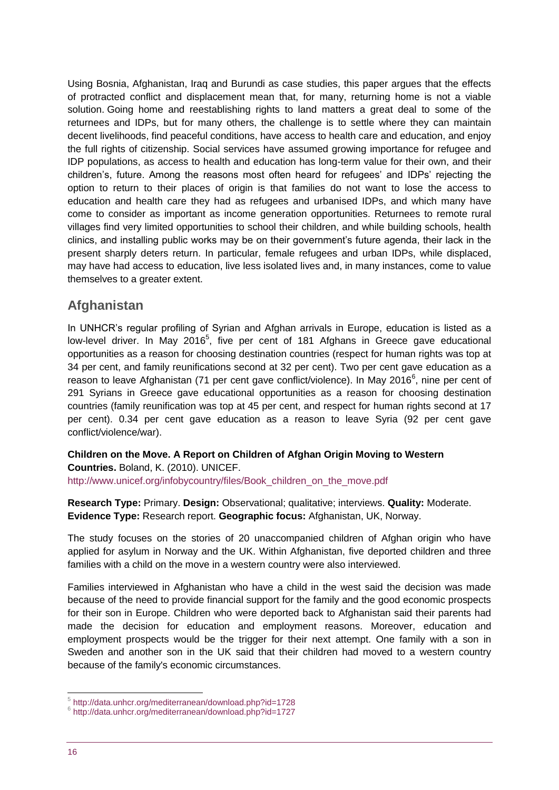Using Bosnia, Afghanistan, Iraq and Burundi as case studies, this paper argues that the effects of protracted conflict and displacement mean that, for many, returning home is not a viable solution. Going home and reestablishing rights to land matters a great deal to some of the returnees and IDPs, but for many others, the challenge is to settle where they can maintain decent livelihoods, find peaceful conditions, have access to health care and education, and enjoy the full rights of citizenship. Social services have assumed growing importance for refugee and IDP populations, as access to health and education has long-term value for their own, and their children's, future. Among the reasons most often heard for refugees' and IDPs' rejecting the option to return to their places of origin is that families do not want to lose the access to education and health care they had as refugees and urbanised IDPs, and which many have come to consider as important as income generation opportunities. Returnees to remote rural villages find very limited opportunities to school their children, and while building schools, health clinics, and installing public works may be on their government's future agenda, their lack in the present sharply deters return. In particular, female refugees and urban IDPs, while displaced, may have had access to education, live less isolated lives and, in many instances, come to value themselves to a greater extent.

### **Afghanistan**

In UNHCR's regular profiling of Syrian and Afghan arrivals in Europe, education is listed as a low-level driver. In May 2016<sup>5</sup>, five per cent of 181 Afghans in Greece gave educational opportunities as a reason for choosing destination countries (respect for human rights was top at 34 per cent, and family reunifications second at 32 per cent). Two per cent gave education as a reason to leave Afghanistan (71 per cent gave conflict/violence). In May 2016<sup>6</sup>, nine per cent of 291 Syrians in Greece gave educational opportunities as a reason for choosing destination countries (family reunification was top at 45 per cent, and respect for human rights second at 17 per cent). 0.34 per cent gave education as a reason to leave Syria (92 per cent gave conflict/violence/war).

**Children on the Move. A Report on Children of Afghan Origin Moving to Western Countries.** Boland, K. (2010). UNICEF. [http://www.unicef.org/infobycountry/files/Book\\_children\\_on\\_the\\_move.pdf](http://www.unicef.org/infobycountry/files/Book_children_on_the_move.pdf)

**Research Type:** Primary. **Design:** Observational; qualitative; interviews. **Quality:** Moderate. **Evidence Type:** Research report. **Geographic focus:** Afghanistan, UK, Norway.

The study focuses on the stories of 20 unaccompanied children of Afghan origin who have applied for asylum in Norway and the UK. Within Afghanistan, five deported children and three families with a child on the move in a western country were also interviewed.

Families interviewed in Afghanistan who have a child in the west said the decision was made because of the need to provide financial support for the family and the good economic prospects for their son in Europe. Children who were deported back to Afghanistan said their parents had made the decision for education and employment reasons. Moreover, education and employment prospects would be the trigger for their next attempt. One family with a son in Sweden and another son in the UK said that their children had moved to a western country because of the family's economic circumstances.

1

<sup>5</sup> <http://data.unhcr.org/mediterranean/download.php?id=1728>

<sup>6</sup> <http://data.unhcr.org/mediterranean/download.php?id=1727>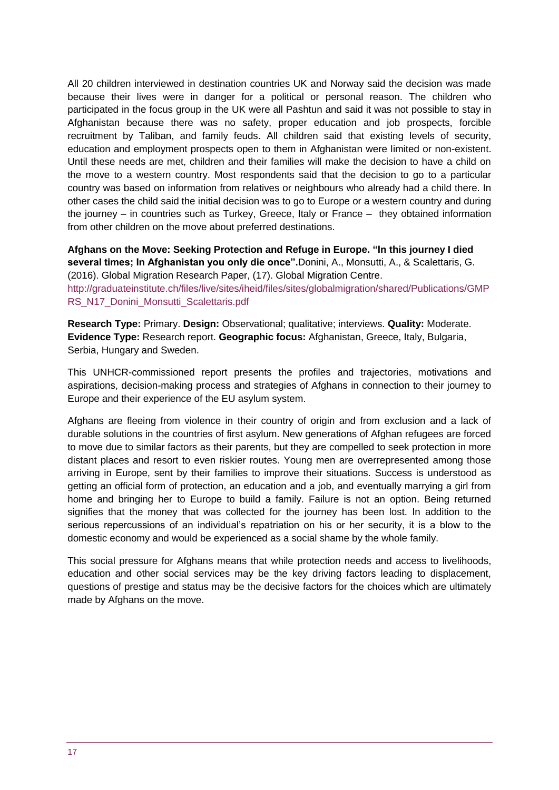All 20 children interviewed in destination countries UK and Norway said the decision was made because their lives were in danger for a political or personal reason. The children who participated in the focus group in the UK were all Pashtun and said it was not possible to stay in Afghanistan because there was no safety, proper education and job prospects, forcible recruitment by Taliban, and family feuds. All children said that existing levels of security, education and employment prospects open to them in Afghanistan were limited or non-existent. Until these needs are met, children and their families will make the decision to have a child on the move to a western country. Most respondents said that the decision to go to a particular country was based on information from relatives or neighbours who already had a child there. In other cases the child said the initial decision was to go to Europe or a western country and during the journey – in countries such as Turkey, Greece, Italy or France – they obtained information from other children on the move about preferred destinations.

**Afghans on the Move: Seeking Protection and Refuge in Europe. "In this journey I died several times; In Afghanistan you only die once".**Donini, A., Monsutti, A., & Scalettaris, G. (2016). Global Migration Research Paper, (17). Global Migration Centre.

[http://graduateinstitute.ch/files/live/sites/iheid/files/sites/globalmigration/shared/Publications/GMP](http://graduateinstitute.ch/files/live/sites/iheid/files/sites/globalmigration/shared/Publications/GMPRS_N17_Donini_Monsutti_Scalettaris.pdf) [RS\\_N17\\_Donini\\_Monsutti\\_Scalettaris.pdf](http://graduateinstitute.ch/files/live/sites/iheid/files/sites/globalmigration/shared/Publications/GMPRS_N17_Donini_Monsutti_Scalettaris.pdf)

**Research Type:** Primary. **Design:** Observational; qualitative; interviews. **Quality:** Moderate. **Evidence Type:** Research report. **Geographic focus:** Afghanistan, Greece, Italy, Bulgaria, Serbia, Hungary and Sweden.

This UNHCR-commissioned report presents the profiles and trajectories, motivations and aspirations, decision-making process and strategies of Afghans in connection to their journey to Europe and their experience of the EU asylum system.

Afghans are fleeing from violence in their country of origin and from exclusion and a lack of durable solutions in the countries of first asylum. New generations of Afghan refugees are forced to move due to similar factors as their parents, but they are compelled to seek protection in more distant places and resort to even riskier routes. Young men are overrepresented among those arriving in Europe, sent by their families to improve their situations. Success is understood as getting an official form of protection, an education and a job, and eventually marrying a girl from home and bringing her to Europe to build a family. Failure is not an option. Being returned signifies that the money that was collected for the journey has been lost. In addition to the serious repercussions of an individual's repatriation on his or her security, it is a blow to the domestic economy and would be experienced as a social shame by the whole family.

This social pressure for Afghans means that while protection needs and access to livelihoods, education and other social services may be the key driving factors leading to displacement, questions of prestige and status may be the decisive factors for the choices which are ultimately made by Afghans on the move.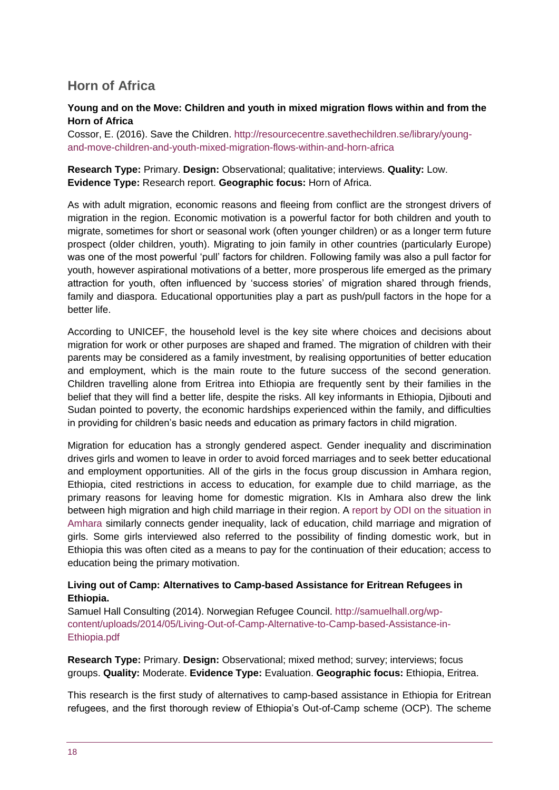# **Horn of Africa**

#### **Young and on the Move: Children and youth in mixed migration flows within and from the Horn of Africa**

Cossor, E. (2016). Save the Children. [http://resourcecentre.savethechildren.se/library/young](http://resourcecentre.savethechildren.se/library/young-and-move-children-and-youth-mixed-migration-flows-within-and-horn-africa)[and-move-children-and-youth-mixed-migration-flows-within-and-horn-africa](http://resourcecentre.savethechildren.se/library/young-and-move-children-and-youth-mixed-migration-flows-within-and-horn-africa)

#### **Research Type:** Primary. **Design:** Observational; qualitative; interviews. **Quality:** Low. **Evidence Type:** Research report. **Geographic focus:** Horn of Africa.

As with adult migration, economic reasons and fleeing from conflict are the strongest drivers of migration in the region. Economic motivation is a powerful factor for both children and youth to migrate, sometimes for short or seasonal work (often younger children) or as a longer term future prospect (older children, youth). Migrating to join family in other countries (particularly Europe) was one of the most powerful 'pull' factors for children. Following family was also a pull factor for youth, however aspirational motivations of a better, more prosperous life emerged as the primary attraction for youth, often influenced by 'success stories' of migration shared through friends, family and diaspora. Educational opportunities play a part as push/pull factors in the hope for a better life.

According to UNICEF, the household level is the key site where choices and decisions about migration for work or other purposes are shaped and framed. The migration of children with their parents may be considered as a family investment, by realising opportunities of better education and employment, which is the main route to the future success of the second generation. Children travelling alone from Eritrea into Ethiopia are frequently sent by their families in the belief that they will find a better life, despite the risks. All key informants in Ethiopia, Djibouti and Sudan pointed to poverty, the economic hardships experienced within the family, and difficulties in providing for children's basic needs and education as primary factors in child migration.

Migration for education has a strongly gendered aspect. Gender inequality and discrimination drives girls and women to leave in order to avoid forced marriages and to seek better educational and employment opportunities. All of the girls in the focus group discussion in Amhara region, Ethiopia, cited restrictions in access to education, for example due to child marriage, as the primary reasons for leaving home for domestic migration. KIs in Amhara also drew the link between high migration and high child marriage in their region. A [report by ODI on the situation in](https://www.odi.org/sites/odi.org.uk/files/odi-assets/publications-opinion-files/9183.pdf)  [Amhara](https://www.odi.org/sites/odi.org.uk/files/odi-assets/publications-opinion-files/9183.pdf) similarly connects gender inequality, lack of education, child marriage and migration of girls. Some girls interviewed also referred to the possibility of finding domestic work, but in Ethiopia this was often cited as a means to pay for the continuation of their education; access to education being the primary motivation.

#### **Living out of Camp: Alternatives to Camp-based Assistance for Eritrean Refugees in Ethiopia.**

Samuel Hall Consulting (2014). Norwegian Refugee Council. [http://samuelhall.org/wp](http://samuelhall.org/wp-content/uploads/2014/05/Living-Out-of-Camp-Alternative-to-Camp-based-Assistance-in-Ethiopia.pdf)[content/uploads/2014/05/Living-Out-of-Camp-Alternative-to-Camp-based-Assistance-in-](http://samuelhall.org/wp-content/uploads/2014/05/Living-Out-of-Camp-Alternative-to-Camp-based-Assistance-in-Ethiopia.pdf)[Ethiopia.pdf](http://samuelhall.org/wp-content/uploads/2014/05/Living-Out-of-Camp-Alternative-to-Camp-based-Assistance-in-Ethiopia.pdf)

**Research Type:** Primary. **Design:** Observational; mixed method; survey; interviews; focus groups. **Quality:** Moderate. **Evidence Type:** Evaluation. **Geographic focus:** Ethiopia, Eritrea.

This research is the first study of alternatives to camp-based assistance in Ethiopia for Eritrean refugees, and the first thorough review of Ethiopia's Out-of-Camp scheme (OCP). The scheme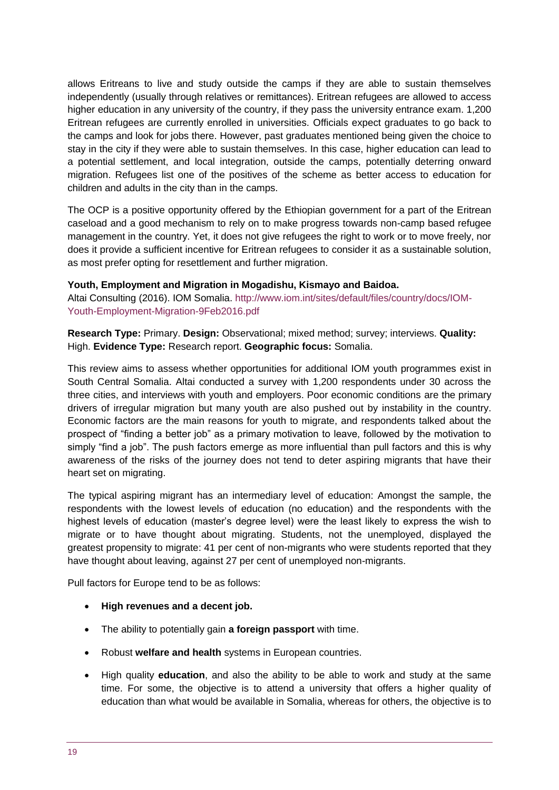allows Eritreans to live and study outside the camps if they are able to sustain themselves independently (usually through relatives or remittances). Eritrean refugees are allowed to access higher education in any university of the country, if they pass the university entrance exam. 1,200 Eritrean refugees are currently enrolled in universities. Officials expect graduates to go back to the camps and look for jobs there. However, past graduates mentioned being given the choice to stay in the city if they were able to sustain themselves. In this case, higher education can lead to a potential settlement, and local integration, outside the camps, potentially deterring onward migration. Refugees list one of the positives of the scheme as better access to education for children and adults in the city than in the camps.

The OCP is a positive opportunity offered by the Ethiopian government for a part of the Eritrean caseload and a good mechanism to rely on to make progress towards non-camp based refugee management in the country. Yet, it does not give refugees the right to work or to move freely, nor does it provide a sufficient incentive for Eritrean refugees to consider it as a sustainable solution, as most prefer opting for resettlement and further migration.

#### **Youth, Employment and Migration in Mogadishu, Kismayo and Baidoa.**

Altai Consulting (2016). IOM Somalia. [http://www.iom.int/sites/default/files/country/docs/IOM-](http://www.iom.int/sites/default/files/country/docs/IOM-Youth-Employment-Migration-9Feb2016.pdf)[Youth-Employment-Migration-9Feb2016.pdf](http://www.iom.int/sites/default/files/country/docs/IOM-Youth-Employment-Migration-9Feb2016.pdf)

**Research Type:** Primary. **Design:** Observational; mixed method; survey; interviews. **Quality:**  High. **Evidence Type:** Research report. **Geographic focus:** Somalia.

This review aims to assess whether opportunities for additional IOM youth programmes exist in South Central Somalia. Altai conducted a survey with 1,200 respondents under 30 across the three cities, and interviews with youth and employers. Poor economic conditions are the primary drivers of irregular migration but many youth are also pushed out by instability in the country. Economic factors are the main reasons for youth to migrate, and respondents talked about the prospect of "finding a better job" as a primary motivation to leave, followed by the motivation to simply "find a job". The push factors emerge as more influential than pull factors and this is why awareness of the risks of the journey does not tend to deter aspiring migrants that have their heart set on migrating.

The typical aspiring migrant has an intermediary level of education: Amongst the sample, the respondents with the lowest levels of education (no education) and the respondents with the highest levels of education (master's degree level) were the least likely to express the wish to migrate or to have thought about migrating. Students, not the unemployed, displayed the greatest propensity to migrate: 41 per cent of non-migrants who were students reported that they have thought about leaving, against 27 per cent of unemployed non-migrants.

Pull factors for Europe tend to be as follows:

- **High revenues and a decent job.**
- The ability to potentially gain **a foreign passport** with time.
- Robust **welfare and health** systems in European countries.
- High quality **education**, and also the ability to be able to work and study at the same time. For some, the objective is to attend a university that offers a higher quality of education than what would be available in Somalia, whereas for others, the objective is to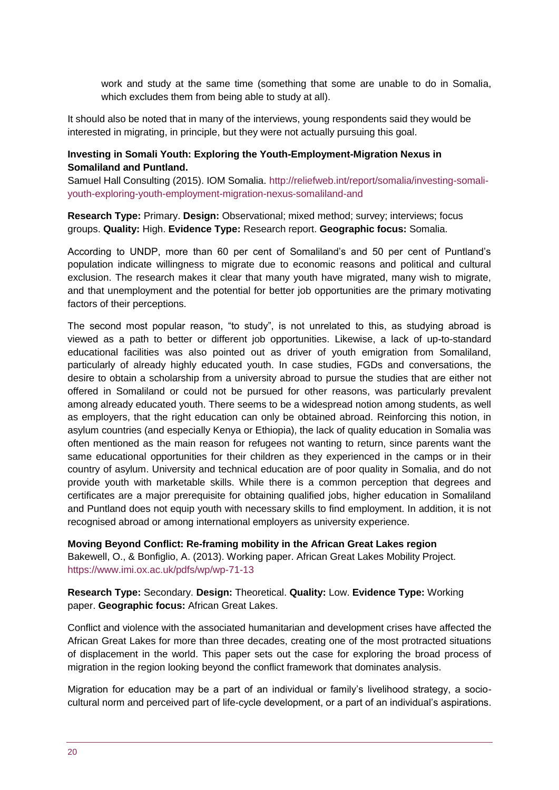work and study at the same time (something that some are unable to do in Somalia, which excludes them from being able to study at all).

It should also be noted that in many of the interviews, young respondents said they would be interested in migrating, in principle, but they were not actually pursuing this goal.

#### **Investing in Somali Youth: Exploring the Youth-Employment-Migration Nexus in Somaliland and Puntland.**

Samuel Hall Consulting (2015). IOM Somalia. [http://reliefweb.int/report/somalia/investing-somali](http://reliefweb.int/report/somalia/investing-somali-youth-exploring-youth-employment-migration-nexus-somaliland-and)[youth-exploring-youth-employment-migration-nexus-somaliland-and](http://reliefweb.int/report/somalia/investing-somali-youth-exploring-youth-employment-migration-nexus-somaliland-and)

**Research Type:** Primary. **Design:** Observational; mixed method; survey; interviews; focus groups. **Quality:** High. **Evidence Type:** Research report. **Geographic focus:** Somalia.

According to UNDP, more than 60 per cent of Somaliland's and 50 per cent of Puntland's population indicate willingness to migrate due to economic reasons and political and cultural exclusion. The research makes it clear that many youth have migrated, many wish to migrate, and that unemployment and the potential for better job opportunities are the primary motivating factors of their perceptions.

The second most popular reason, "to study", is not unrelated to this, as studying abroad is viewed as a path to better or different job opportunities. Likewise, a lack of up-to-standard educational facilities was also pointed out as driver of youth emigration from Somaliland, particularly of already highly educated youth. In case studies, FGDs and conversations, the desire to obtain a scholarship from a university abroad to pursue the studies that are either not offered in Somaliland or could not be pursued for other reasons, was particularly prevalent among already educated youth. There seems to be a widespread notion among students, as well as employers, that the right education can only be obtained abroad. Reinforcing this notion, in asylum countries (and especially Kenya or Ethiopia), the lack of quality education in Somalia was often mentioned as the main reason for refugees not wanting to return, since parents want the same educational opportunities for their children as they experienced in the camps or in their country of asylum. University and technical education are of poor quality in Somalia, and do not provide youth with marketable skills. While there is a common perception that degrees and certificates are a major prerequisite for obtaining qualified jobs, higher education in Somaliland and Puntland does not equip youth with necessary skills to find employment. In addition, it is not recognised abroad or among international employers as university experience.

**Moving Beyond Conflict: Re-framing mobility in the African Great Lakes region**  Bakewell, O., & Bonfiglio, A. (2013). Working paper. African Great Lakes Mobility Project. <https://www.imi.ox.ac.uk/pdfs/wp/wp-71-13>

**Research Type:** Secondary. **Design:** Theoretical. **Quality:** Low. **Evidence Type:** Working paper. **Geographic focus:** African Great Lakes.

Conflict and violence with the associated humanitarian and development crises have affected the African Great Lakes for more than three decades, creating one of the most protracted situations of displacement in the world. This paper sets out the case for exploring the broad process of migration in the region looking beyond the conflict framework that dominates analysis.

Migration for education may be a part of an individual or family's livelihood strategy, a sociocultural norm and perceived part of life-cycle development, or a part of an individual's aspirations.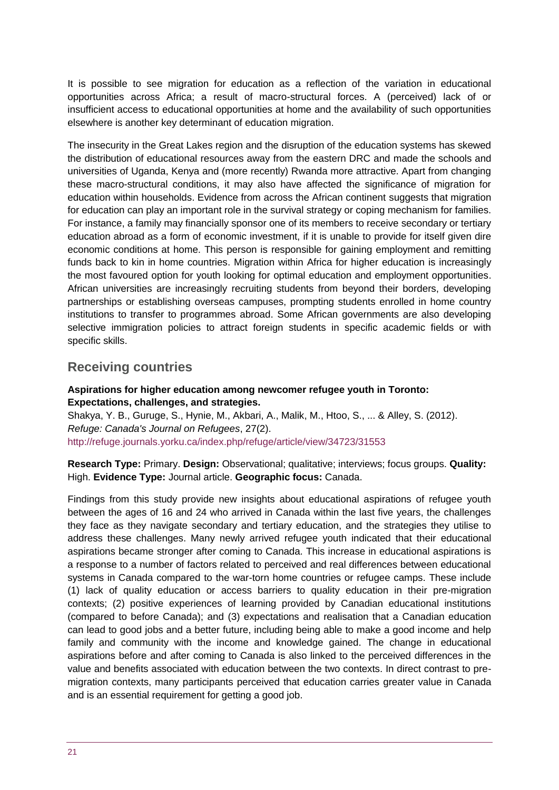It is possible to see migration for education as a reflection of the variation in educational opportunities across Africa; a result of macro-structural forces. A (perceived) lack of or insufficient access to educational opportunities at home and the availability of such opportunities elsewhere is another key determinant of education migration.

The insecurity in the Great Lakes region and the disruption of the education systems has skewed the distribution of educational resources away from the eastern DRC and made the schools and universities of Uganda, Kenya and (more recently) Rwanda more attractive. Apart from changing these macro-structural conditions, it may also have affected the significance of migration for education within households. Evidence from across the African continent suggests that migration for education can play an important role in the survival strategy or coping mechanism for families. For instance, a family may financially sponsor one of its members to receive secondary or tertiary education abroad as a form of economic investment, if it is unable to provide for itself given dire economic conditions at home. This person is responsible for gaining employment and remitting funds back to kin in home countries. Migration within Africa for higher education is increasingly the most favoured option for youth looking for optimal education and employment opportunities. African universities are increasingly recruiting students from beyond their borders, developing partnerships or establishing overseas campuses, prompting students enrolled in home country institutions to transfer to programmes abroad. Some African governments are also developing selective immigration policies to attract foreign students in specific academic fields or with specific skills.

### **Receiving countries**

#### **Aspirations for higher education among newcomer refugee youth in Toronto: Expectations, challenges, and strategies.**

Shakya, Y. B., Guruge, S., Hynie, M., Akbari, A., Malik, M., Htoo, S., ... & Alley, S. (2012). *Refuge: Canada's Journal on Refugees*, 27(2). <http://refuge.journals.yorku.ca/index.php/refuge/article/view/34723/31553>

**Research Type:** Primary. **Design:** Observational; qualitative; interviews; focus groups. **Quality:**  High. **Evidence Type:** Journal article. **Geographic focus:** Canada.

Findings from this study provide new insights about educational aspirations of refugee youth between the ages of 16 and 24 who arrived in Canada within the last five years, the challenges they face as they navigate secondary and tertiary education, and the strategies they utilise to address these challenges. Many newly arrived refugee youth indicated that their educational aspirations became stronger after coming to Canada. This increase in educational aspirations is a response to a number of factors related to perceived and real differences between educational systems in Canada compared to the war-torn home countries or refugee camps. These include (1) lack of quality education or access barriers to quality education in their pre-migration contexts; (2) positive experiences of learning provided by Canadian educational institutions (compared to before Canada); and (3) expectations and realisation that a Canadian education can lead to good jobs and a better future, including being able to make a good income and help family and community with the income and knowledge gained. The change in educational aspirations before and after coming to Canada is also linked to the perceived differences in the value and benefits associated with education between the two contexts. In direct contrast to premigration contexts, many participants perceived that education carries greater value in Canada and is an essential requirement for getting a good job.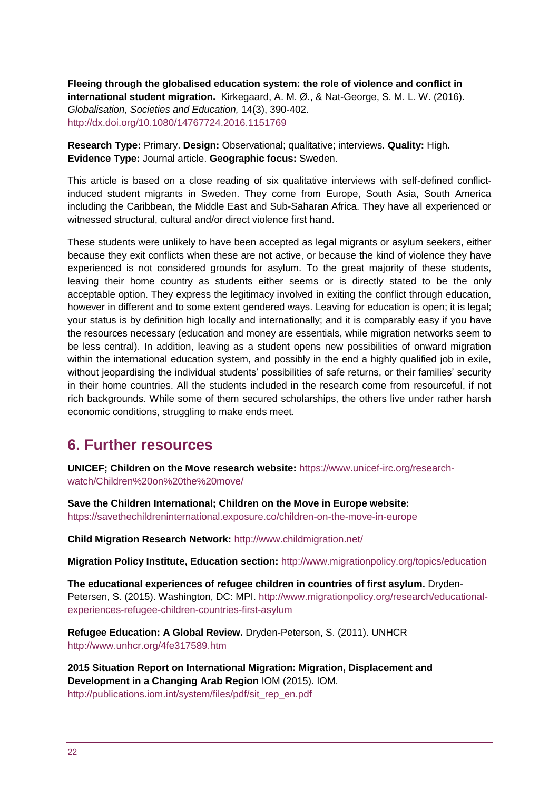**Fleeing through the globalised education system: the role of violence and conflict in international student migration.** Kirkegaard, A. M. Ø., & Nat-George, S. M. L. W. (2016). *Globalisation, Societies and Education,* 14(3), 390-402. <http://dx.doi.org/10.1080/14767724.2016.1151769>

**Research Type:** Primary. **Design:** Observational; qualitative; interviews. **Quality:** High. **Evidence Type:** Journal article. **Geographic focus:** Sweden.

This article is based on a close reading of six qualitative interviews with self-defined conflictinduced student migrants in Sweden. They come from Europe, South Asia, South America including the Caribbean, the Middle East and Sub-Saharan Africa. They have all experienced or witnessed structural, cultural and/or direct violence first hand.

These students were unlikely to have been accepted as legal migrants or asylum seekers, either because they exit conflicts when these are not active, or because the kind of violence they have experienced is not considered grounds for asylum. To the great majority of these students, leaving their home country as students either seems or is directly stated to be the only acceptable option. They express the legitimacy involved in exiting the conflict through education, however in different and to some extent gendered ways. Leaving for education is open; it is legal; your status is by definition high locally and internationally; and it is comparably easy if you have the resources necessary (education and money are essentials, while migration networks seem to be less central). In addition, leaving as a student opens new possibilities of onward migration within the international education system, and possibly in the end a highly qualified job in exile, without jeopardising the individual students' possibilities of safe returns, or their families' security in their home countries. All the students included in the research come from resourceful, if not rich backgrounds. While some of them secured scholarships, the others live under rather harsh economic conditions, struggling to make ends meet.

# <span id="page-21-0"></span>**6. Further resources**

**UNICEF; Children on the Move research website:** [https://www.unicef-irc.org/research](https://www.unicef-irc.org/research-watch/Children%20on%20the%20move/)[watch/Children%20on%20the%20move/](https://www.unicef-irc.org/research-watch/Children%20on%20the%20move/)

**Save the Children International; Children on the Move in Europe website:**  <https://savethechildreninternational.exposure.co/children-on-the-move-in-europe>

**Child Migration Research Network:** <http://www.childmigration.net/>

**Migration Policy Institute, Education section:** <http://www.migrationpolicy.org/topics/education>

**The educational experiences of refugee children in countries of first asylum.** Dryden-Petersen, S. (2015). Washington, DC: MPI. [http://www.migrationpolicy.org/research/educational](http://www.migrationpolicy.org/research/educational-experiences-refugee-children-countries-first-asylum)[experiences-refugee-children-countries-first-asylum](http://www.migrationpolicy.org/research/educational-experiences-refugee-children-countries-first-asylum)

**Refugee Education: A Global Review.** Dryden-Peterson, S. (2011). UNHCR <http://www.unhcr.org/4fe317589.htm>

**2015 Situation Report on International Migration: Migration, Displacement and Development in a Changing Arab Region** IOM (2015). IOM. [http://publications.iom.int/system/files/pdf/sit\\_rep\\_en.pdf](http://publications.iom.int/system/files/pdf/sit_rep_en.pdf)